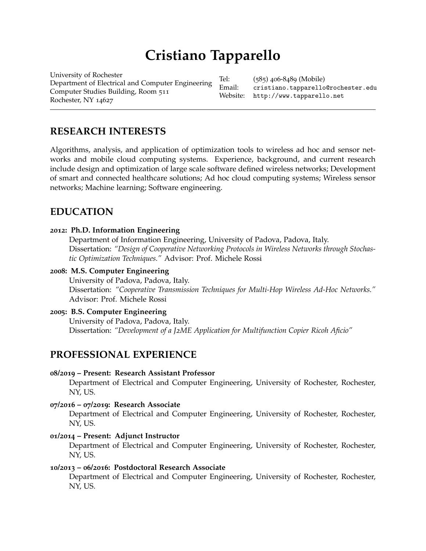# **Cristiano Tapparello**

[University](http://www.rochester.edu/) of Rochester Department of Electrical and Computer Engineering Computer Studies Building, Room 511 Rochester, NY 14627

Tel: (585) 406-8489 (Mobile) Email: [cristiano.tapparello@rochester.edu](mailto:cristiano.tapparello@rochester.edu) Website: <http://www.tapparello.net>

# **RESEARCH INTERESTS**

Algorithms, analysis, and application of optimization tools to wireless ad hoc and sensor networks and mobile cloud computing systems. Experience, background, and current research include design and optimization of large scale software defined wireless networks; Development of smart and connected healthcare solutions; Ad hoc cloud computing systems; Wireless sensor networks; Machine learning; Software engineering.

# **EDUCATION**

### **2012: Ph.D. Information Engineering**

Department of Information Engineering, University of Padova, Padova, Italy. Dissertation: *"Design of Cooperative Networking Protocols in Wireless Networks through Stochastic Optimization Techniques."* Advisor: Prof. Michele Rossi

### **2008: M.S. Computer Engineering**

University of Padova, Padova, Italy. Dissertation: *"Cooperative Transmission Techniques for Multi-Hop Wireless Ad-Hoc Networks."* Advisor: Prof. Michele Rossi

### **2005: B.S. Computer Engineering**

University of Padova, Padova, Italy. Dissertation: *"Development of a J2ME Application for Multifunction Copier Ricoh Aficio"*

# **PROFESSIONAL EXPERIENCE**

#### **08/2019 – Present: Research Assistant Professor**

Department of Electrical and Computer Engineering, University of Rochester, Rochester, NY, US.

#### **07/2016 – 07/2019: Research Associate**

Department of Electrical and Computer Engineering, University of Rochester, Rochester, NY, US.

### **01/2014 – Present: Adjunct Instructor**

Department of Electrical and Computer Engineering, University of Rochester, Rochester, NY, US.

#### **10/2013 – 06/2016: Postdoctoral Research Associate**

Department of Electrical and Computer Engineering, University of Rochester, Rochester, NY, US.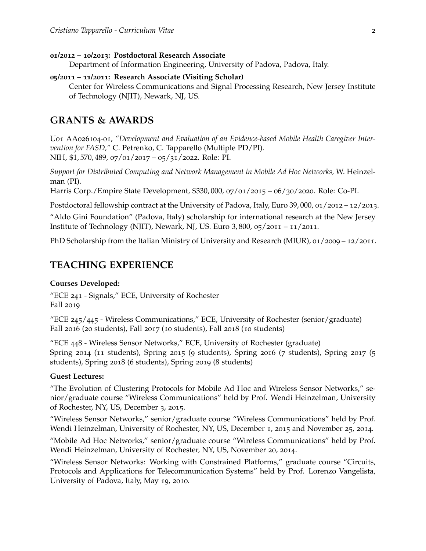#### **01/2012 – 10/2013: Postdoctoral Research Associate**

Department of Information Engineering, University of Padova, Padova, Italy.

#### **05/2011 – 11/2011: Research Associate (Visiting Scholar)**

Center for Wireless Communications and Signal Processing Research, New Jersey Institute of Technology (NJIT), Newark, NJ, US.

# **GRANTS & AWARDS**

U01 AA026104-01, *"Development and Evaluation of an Evidence-based Mobile Health Caregiver Intervention for FASD,"* C. Petrenko, C. Tapparello (Multiple PD/PI). NIH, \$1, 570, 489, 07/01/2017 – 05/31/2022. Role: PI.

*Support for Distributed Computing and Network Management in Mobile Ad Hoc Networks,* W. Heinzelman (PI).

Harris Corp./Empire State Development, \$330, 000, 07/01/2015 – 06/30/2020. Role: Co-PI.

Postdoctoral fellowship contract at the University of Padova, Italy, Euro 39, 000, 01/2012 – 12/2013.

"Aldo Gini Foundation" (Padova, Italy) scholarship for international research at the New Jersey Institute of Technology (NJIT), Newark, NJ, US. Euro 3, 800, 05/2011 – 11/2011.

PhD Scholarship from the Italian Ministry of University and Research (MIUR), 01/2009 – 12/2011.

# **TEACHING EXPERIENCE**

#### **Courses Developed:**

"ECE 241 - Signals," ECE, University of Rochester Fall 2019

"ECE 245/445 - Wireless Communications," ECE, University of Rochester (senior/graduate) Fall 2016 (20 students), Fall 2017 (10 students), Fall 2018 (10 students)

"ECE 448 - Wireless Sensor Networks," ECE, University of Rochester (graduate) Spring 2014 (11 students), Spring 2015 (9 students), Spring 2016 (7 students), Spring 2017 (5 students), Spring 2018 (6 students), Spring 2019 (8 students)

#### **Guest Lectures:**

"The Evolution of Clustering Protocols for Mobile Ad Hoc and Wireless Sensor Networks," senior/graduate course "Wireless Communications" held by Prof. Wendi Heinzelman, University of Rochester, NY, US, December 3, 2015.

"Wireless Sensor Networks," senior/graduate course "Wireless Communications" held by Prof. Wendi Heinzelman, University of Rochester, NY, US, December 1, 2015 and November 25, 2014.

"Mobile Ad Hoc Networks," senior/graduate course "Wireless Communications" held by Prof. Wendi Heinzelman, University of Rochester, NY, US, November 20, 2014.

"Wireless Sensor Networks: Working with Constrained Platforms," graduate course "Circuits, Protocols and Applications for Telecommunication Systems" held by Prof. Lorenzo Vangelista, University of Padova, Italy, May 19, 2010.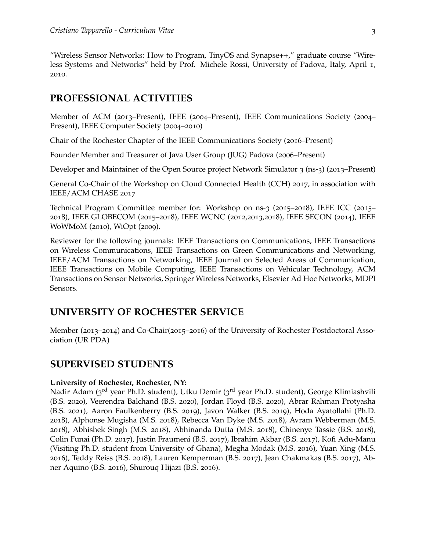"Wireless Sensor Networks: How to Program, TinyOS and Synapse++," graduate course "Wireless Systems and Networks" held by Prof. Michele Rossi, University of Padova, Italy, April 1, 2010.

# **PROFESSIONAL ACTIVITIES**

Member of ACM (2013–Present), IEEE (2004–Present), IEEE Communications Society (2004– Present), IEEE Computer Society (2004–2010)

Chair of the Rochester Chapter of the IEEE Communications Society (2016–Present)

Founder Member and Treasurer of Java User Group (JUG) Padova (2006–Present)

Developer and Maintainer of the Open Source project Network Simulator 3 (ns-3) (2013–Present)

General Co-Chair of the Workshop on Cloud Connected Health (CCH) 2017, in association with IEEE/ACM CHASE 2017

Technical Program Committee member for: Workshop on ns-3 (2015–2018), IEEE ICC (2015– 2018), IEEE GLOBECOM (2015–2018), IEEE WCNC (2012,2013,2018), IEEE SECON (2014), IEEE WoWMoM (2010), WiOpt (2009).

Reviewer for the following journals: IEEE Transactions on Communications, IEEE Transactions on Wireless Communications, IEEE Transactions on Green Communications and Networking, IEEE/ACM Transactions on Networking, IEEE Journal on Selected Areas of Communication, IEEE Transactions on Mobile Computing, IEEE Transactions on Vehicular Technology, ACM Transactions on Sensor Networks, Springer Wireless Networks, Elsevier Ad Hoc Networks, MDPI Sensors.

## **UNIVERSITY OF ROCHESTER SERVICE**

Member (2013–2014) and Co-Chair(2015–2016) of the University of Rochester Postdoctoral Association (UR PDA)

### **SUPERVISED STUDENTS**

#### **University of Rochester, Rochester, NY:**

Nadir Adam (3<sup>rd</sup> year Ph.D. student), Utku Demir (3<sup>rd</sup> year Ph.D. student), George Klimiashvili (B.S. 2020), Veerendra Balchand (B.S. 2020), Jordan Floyd (B.S. 2020), Abrar Rahman Protyasha (B.S. 2021), Aaron Faulkenberry (B.S. 2019), Javon Walker (B.S. 2019), Hoda Ayatollahi (Ph.D. 2018), Alphonse Mugisha (M.S. 2018), Rebecca Van Dyke (M.S. 2018), Avram Webberman (M.S. 2018), Abhishek Singh (M.S. 2018), Abhinanda Dutta (M.S. 2018), Chinenye Tassie (B.S. 2018), Colin Funai (Ph.D. 2017), Justin Fraumeni (B.S. 2017), Ibrahim Akbar (B.S. 2017), Kofi Adu-Manu (Visiting Ph.D. student from University of Ghana), Megha Modak (M.S. 2016), Yuan Xing (M.S. 2016), Teddy Reiss (B.S. 2018), Lauren Kemperman (B.S. 2017), Jean Chakmakas (B.S. 2017), Abner Aquino (B.S. 2016), Shurouq Hijazi (B.S. 2016).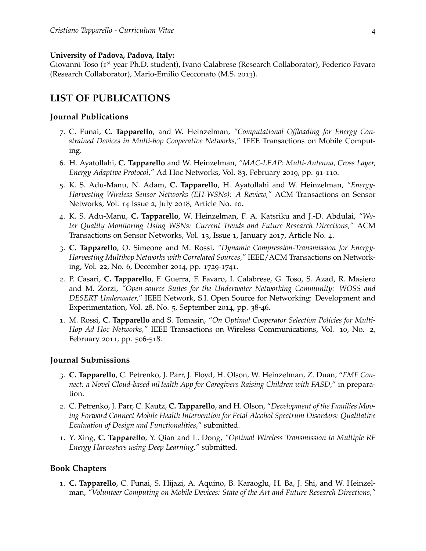#### **University of Padova, Padova, Italy:**

Giovanni Toso (1<sup>st</sup> year Ph.D. student), Ivano Calabrese (Research Collaborator), Federico Favaro (Research Collaborator), Mario-Emilio Cecconato (M.S. 2013).

### **LIST OF PUBLICATIONS**

#### **Journal Publications**

- 7. C. Funai, **C. Tapparello**, and W. Heinzelman, *"Computational Offloading for Energy Constrained Devices in Multi-hop Cooperative Networks,"* IEEE Transactions on Mobile Computing.
- 6. H. Ayatollahi, **C. Tapparello** and W. Heinzelman, *"MAC-LEAP: Multi-Antenna, Cross Layer, Energy Adaptive Protocol,"* Ad Hoc Networks, Vol. 83, February 2019, pp. 91-110.
- 5. K. S. Adu-Manu, N. Adam, **C. Tapparello**, H. Ayatollahi and W. Heinzelman, *"Energy-Harvesting Wireless Sensor Networks (EH-WSNs): A Review,"* ACM Transactions on Sensor Networks, Vol. 14 Issue 2, July 2018, Article No. 10.
- 4. K. S. Adu-Manu, **C. Tapparello**, W. Heinzelman, F. A. Katsriku and J.-D. Abdulai, *"Water Quality Monitoring Using WSNs: Current Trends and Future Research Directions,"* ACM Transactions on Sensor Networks, Vol. 13, Issue 1, January 2017, Article No. 4.
- 3. **C. Tapparello**, O. Simeone and M. Rossi, *"Dynamic Compression-Transmission for Energy-Harvesting Multihop Networks with Correlated Sources,"* IEEE/ACM Transactions on Networking, Vol. 22, No. 6, December 2014, pp. 1729-1741.
- 2. P. Casari, **C. Tapparello**, F. Guerra, F. Favaro, I. Calabrese, G. Toso, S. Azad, R. Masiero and M. Zorzi, *"Open-source Suites for the Underwater Networking Community: WOSS and DESERT Underwater,"* IEEE Network, S.I. Open Source for Networking: Development and Experimentation, Vol. 28, No. 5, September 2014, pp. 38-46.
- 1. M. Rossi, **C. Tapparello** and S. Tomasin, *"On Optimal Cooperator Selection Policies for Multi-Hop Ad Hoc Networks,"* IEEE Transactions on Wireless Communications, Vol. 10, No. 2, February 2011, pp. 506-518.

#### **Journal Submissions**

- 3. **C. Tapparello**, C. Petrenko, J. Parr, J. Floyd, H. Olson, W. Heinzelman, Z. Duan, "*FMF Connect: a Novel Cloud-based mHealth App for Caregivers Raising Children with FASD,*" in preparation.
- 2. C. Petrenko, J. Parr, C. Kautz, **C. Tapparello**, and H. Olson, "*Development of the Families Moving Forward Connect Mobile Health Intervention for Fetal Alcohol Spectrum Disorders: Qualitative Evaluation of Design and Functionalities,*" submitted.
- 1. Y. Xing, **C. Tapparello**, Y. Qian and L. Dong, *"Optimal Wireless Transmission to Multiple RF Energy Harvesters using Deep Learning,"* submitted.

#### **Book Chapters**

1. **C. Tapparello**, C. Funai, S. Hijazi, A. Aquino, B. Karaoglu, H. Ba, J. Shi, and W. Heinzelman, *"Volunteer Computing on Mobile Devices: State of the Art and Future Research Directions,"*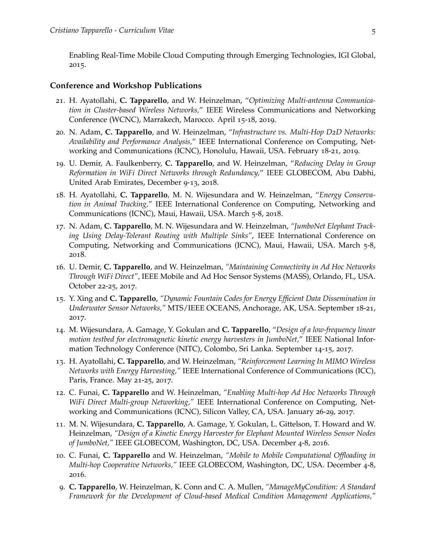Enabling Real-Time Mobile Cloud Computing through Emerging Technologies, IGI Global, 2015.

#### **Conference and Workshop Publications**

- 21. H. Ayatollahi, **C. Tapparello**, and W. Heinzelman, "*Optimizing Multi-antenna Communication in Cluster-based Wireless Networks,*" IEEE Wireless Communications and Networking Conference (WCNC), Marrakech, Marocco. April 15-18, 2019.
- 20. N. Adam, **C. Tapparello**, and W. Heinzelman, "*Infrastructure vs. Multi-Hop D2D Networks: Availability and Performance Analysis,*" IEEE International Conference on Computing, Networking and Communications (ICNC), Honolulu, Hawaii, USA. February 18-21, 2019.
- 19. U. Demir, A. Faulkenberry, **C. Tapparello**, and W. Heinzelman, "*Reducing Delay in Group Reformation in WiFi Direct Networks through Redundancy,*" IEEE GLOBECOM, Abu Dabhi, United Arab Emirates, December 9-13, 2018.
- 18. H. Ayatollahi, **C. Tapparello**, M. N. Wijesundara and W. Heinzelman, "*Energy Conservation in Animal Tracking,*" IEEE International Conference on Computing, Networking and Communications (ICNC), Maui, Hawaii, USA. March 5-8, 2018.
- 17. N. Adam, **C. Tapparello**, M. N. Wijesundara and W. Heinzelman, *"JumboNet Elephant Tracking Using Delay-Tolerant Routing with Multiple Sinks"*, IEEE International Conference on Computing, Networking and Communications (ICNC), Maui, Hawaii, USA. March 5-8, 2018.
- 16. U. Demir, **C. Tapparello**, and W. Heinzelman, *"Maintaining Connectivity in Ad Hoc Networks Through WiFi Direct"*, IEEE Mobile and Ad Hoc Sensor Systems (MASS), Orlando, FL, USA. October 22-25, 2017.
- 15. Y. Xing and **C. Tapparello**, *"Dynamic Fountain Codes for Energy Efficient Data Dissemination in Underwater Sensor Networks,"* MTS/IEEE OCEANS, Anchorage, AK, USA. September 18-21, 2017.
- 14. M. Wijesundara, A. Gamage, Y. Gokulan and **C. Tapparello**, "*Design of a low-frequency linear motion testbed for electromagnetic kinetic energy harvesters in JumboNet,*" IEEE National Information Technology Conference (NITC), Colombo, Sri Lanka. September 14-15, 2017.
- 13. H. Ayatollahi, **C. Tapparello**, and W. Heinzelman, *"Reinforcement Learning In MIMO Wireless Networks with Energy Harvesting,"* IEEE International Conference of Communications (ICC), Paris, France. May 21-25, 2017.
- 12. C. Funai, **C. Tapparello** and W. Heinzelman, *"Enabling Multi-hop Ad Hoc Networks Through WiFi Direct Multi-group Networking,"* IEEE International Conference on Computing, Networking and Communications (ICNC), Silicon Valley, CA, USA. January 26-29, 2017.
- 11. M. N. Wijesundara, **C. Tapparello**, A. Gamage, Y. Gokulan, L. Gittelson, T. Howard and W. Heinzelman, *"Design of a Kinetic Energy Harvester for Elephant Mounted Wireless Sensor Nodes of JumboNet,"* IEEE GLOBECOM, Washington, DC, USA. December 4-8, 2016.
- 10. C. Funai, **C. Tapparello** and W. Heinzelman, *"Mobile to Mobile Computational Offloading in Multi-hop Cooperative Networks,"* IEEE GLOBECOM, Washington, DC, USA. December 4-8, 2016.
- 9. **C. Tapparello**, W. Heinzelman, K. Conn and C. A. Mullen, *"ManageMyCondition: A Standard Framework for the Development of Cloud-based Medical Condition Management Applications,"*